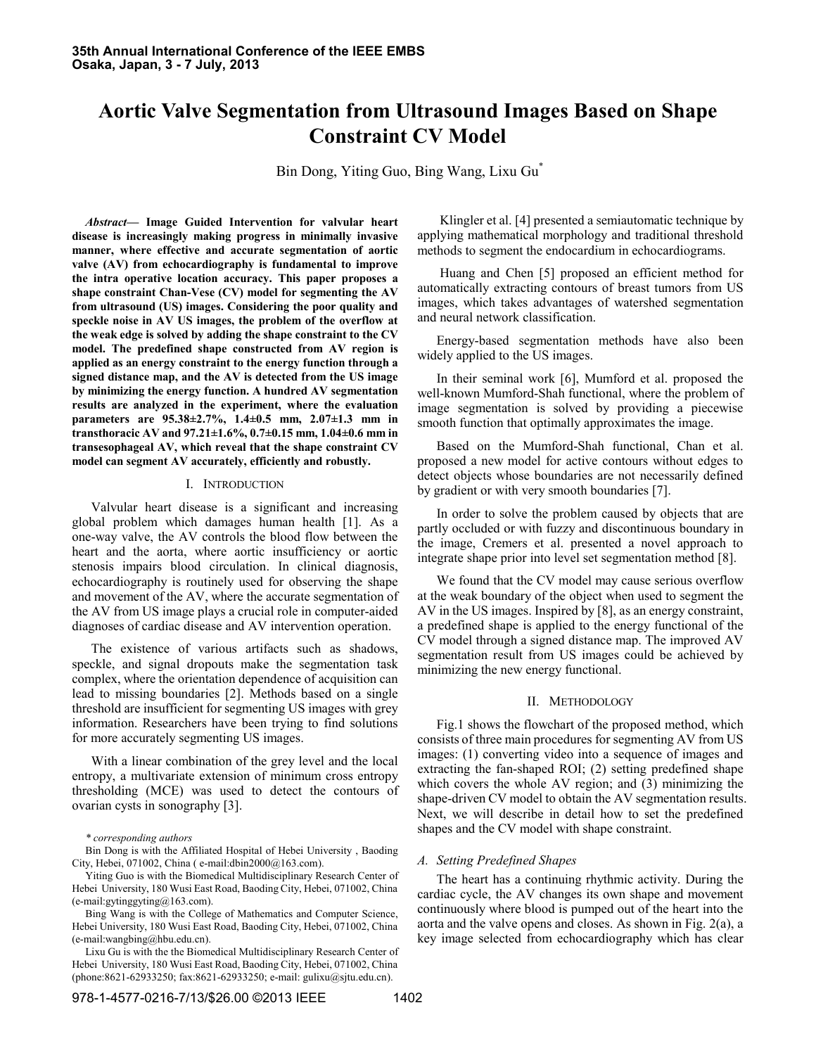# **Aortic Valve Segmentation from Ultrasound Images Based on Shape Constraint CV Model**

Bin Dong, Yiting Guo, Bing Wang, Lixu Gu\*

*Abstract***— Image Guided Intervention for valvular heart disease is increasingly making progress in minimally invasive manner, where effective and accurate segmentation of aortic valve (AV) from echocardiography is fundamental to improve the intra operative location accuracy. This paper proposes a shape constraint Chan-Vese (CV) model for segmenting the AV from ultrasound (US) images. Considering the poor quality and speckle noise in AV US images, the problem of the overflow at the weak edge is solved by adding the shape constraint to the CV model. The predefined shape constructed from AV region is applied as an energy constraint to the energy function through a signed distance map, and the AV is detected from the US image by minimizing the energy function. A hundred AV segmentation results are analyzed in the experiment, where the evaluation parameters are 95.38±2.7%, 1.4±0.5 mm, 2.07±1.3 mm in transthoracic AV and 97.21±1.6%, 0.7±0.15 mm, 1.04±0.6 mm in transesophageal AV, which reveal that the shape constraint CV model can segment AV accurately, efficiently and robustly.**

## I. INTRODUCTION

Valvular heart disease is a significant and increasing global problem which damages human health [1]. As a one-way valve, the AV controls the blood flow between the heart and the aorta, where aortic insufficiency or aortic stenosis impairs blood circulation. In clinical diagnosis, echocardiography is routinely used for observing the shape and movement of the AV, where the accurate segmentation of the AV from US image plays a crucial role in computer-aided diagnoses of cardiac disease and AV intervention operation.

The existence of various artifacts such as shadows, speckle, and signal dropouts make the segmentation task complex, where the orientation dependence of acquisition can lead to missing boundaries [2]. Methods based on a single threshold are insufficient for segmenting US images with grey information. Researchers have been trying to find solutions for more accurately segmenting US images.

With a linear combination of the grey level and the local entropy, a multivariate extension of minimum cross entropy thresholding (MCE) was used to detect the contours of ovarian cysts in sonography [3].

*\* corresponding authors*

Bin Dong is with the Affiliated Hospital of Hebei University , Baoding City, Hebei, 071002, China ( e-mail:dbin2000@163.com).

Yiting Guo is with the Biomedical Multidisciplinary Research Center of Hebei University, 180 Wusi East Road, Baoding City, Hebei, 071002, China (e-mail:gytinggyting@163.com).

Bing Wang is with the College of Mathematics and Computer Science, Hebei University, 180 Wusi East Road, Baoding City, Hebei, 071002, China (e-mail:wangbing@hbu.edu.cn).

Lixu Gu is with the the Biomedical Multidisciplinary Research Center of Hebei University, 180 Wusi East Road, Baoding City, Hebei, 071002, China (phone:8621-62933250; fax:8621-62933250; e-mail: gulixu@sjtu.edu.cn).

Klingler et al. [4] presented a semiautomatic technique by applying mathematical morphology and traditional threshold methods to segment the endocardium in echocardiograms.

Huang and Chen [5] proposed an efficient method for automatically extracting contours of breast tumors from US images, which takes advantages of watershed segmentation and neural network classification.

Energy-based segmentation methods have also been widely applied to the US images.

In their seminal work [6], Mumford et al. proposed the well-known Mumford-Shah functional, where the problem of image segmentation is solved by providing a piecewise smooth function that optimally approximates the image.

Based on the Mumford-Shah functional, Chan et al. proposed a new model for active contours without edges to detect objects whose boundaries are not necessarily defined by gradient or with very smooth boundaries [7].

In order to solve the problem caused by objects that are partly occluded or with fuzzy and discontinuous boundary in the image, Cremers et al. presented a novel approach to integrate shape prior into level set segmentation method [8].

We found that the CV model may cause serious overflow at the weak boundary of the object when used to segment the AV in the US images. Inspired by [8], as an energy constraint, a predefined shape is applied to the energy functional of the CV model through a signed distance map. The improved AV segmentation result from US images could be achieved by minimizing the new energy functional.

## II. METHODOLOGY

Fig.1 shows the flowchart of the proposed method, which consists of three main procedures for segmenting AV from US images: (1) converting video into a sequence of images and extracting the fan-shaped ROI; (2) setting predefined shape which covers the whole AV region; and (3) minimizing the shape-driven CV model to obtain the AV segmentation results. Next, we will describe in detail how to set the predefined shapes and the CV model with shape constraint.

## *A. Setting Predefined Shapes*

The heart has a continuing rhythmic activity. During the cardiac cycle, the AV changes its own shape and movement continuously where blood is pumped out of the heart into the aorta and the valve opens and closes. As shown in Fig. 2(a), a key image selected from echocardiography which has clear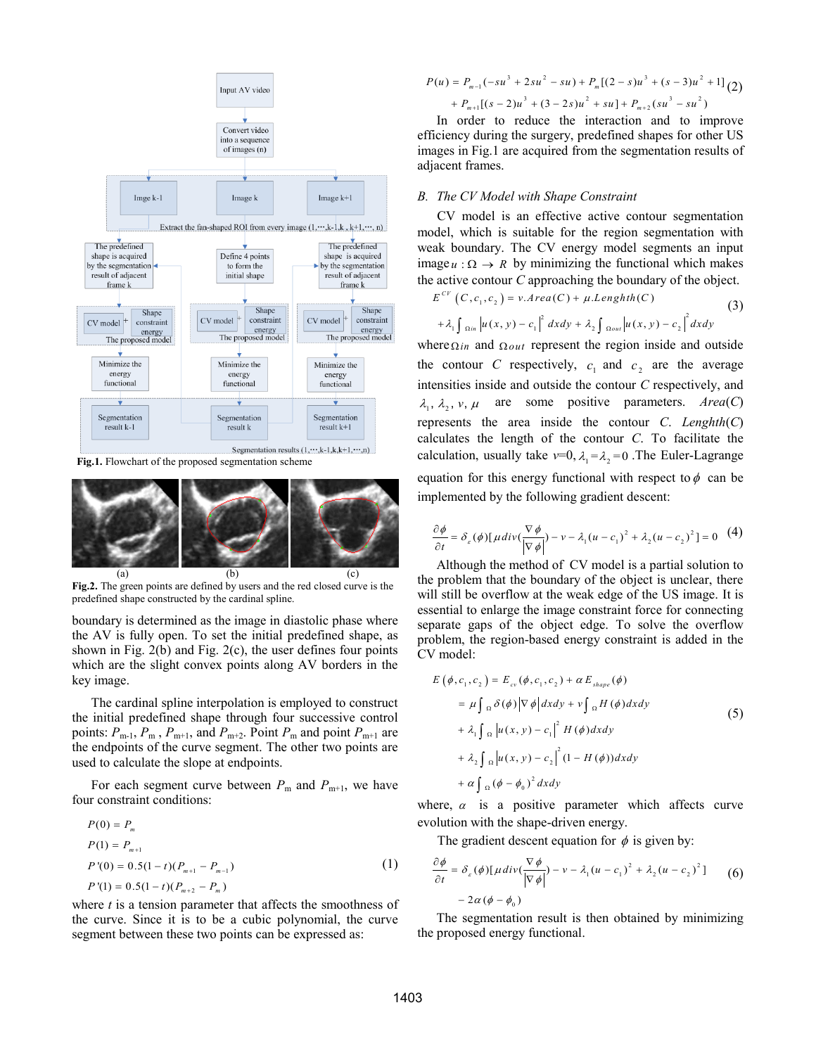

**Fig.1.** Flowchart of the proposed segmentation scheme



**Fig.2.** The green points are defined by users and the red closed curve is the predefined shape constructed by the cardinal spline.

boundary is determined as the image in diastolic phase where the AV is fully open. To set the initial predefined shape, as shown in Fig.  $2(b)$  and Fig.  $2(c)$ , the user defines four points which are the slight convex points along AV borders in the key image.

The cardinal spline interpolation is employed to construct the initial predefined shape through four successive control points:  $P_{m-1}$ ,  $P_m$ ,  $P_{m+1}$ , and  $P_{m+2}$ . Point  $P_m$  and point  $P_{m+1}$  are the endpoints of the curve segment. The other two points are used to calculate the slope at endpoints.

For each segment curve between  $P_m$  and  $P_{m+1}$ , we have four constraint conditions:

$$
P(0) = P_m
$$
  
\n
$$
P(1) = P_{m+1}
$$
  
\n
$$
P'(0) = 0.5(1-t)(P_{m+1} - P_{m-1})
$$
  
\n
$$
P'(1) = 0.5(1-t)(P_{m+2} - P_m)
$$
 (1)

where *t* is a tension parameter that affects the smoothness of the curve. Since it is to be a cubic polynomial, the curve segment between these two points can be expressed as:

$$
P(u) = P_{m-1}(-su^3 + 2su^2 - su) + P_m[(2 - s)u^3 + (s - 3)u^2 + 1] (2)
$$
  
+ 
$$
P_{m+1}[(s - 2)u^3 + (3 - 2s)u^2 + su] + P_{m+2}(su^3 - su^2)
$$

In order to reduce the interaction and to improve efficiency during the surgery, predefined shapes for other US images in Fig.1 are acquired from the segmentation results of adjacent frames.

# *B. The CV Model with Shape Constraint*

CV model is an effective active contour segmentation model, which is suitable for the region segmentation with weak boundary. The CV energy model segments an input image  $u : \Omega \to R$  by minimizing the functional which makes the active contour *C* approaching the boundary of the object.<br>  $E^{CV}(C, c_1, c_2) = v \cdot Area(C) + \mu \cdot Length(C)$  (3)

$$
E^{CV} (C, c_1, c_2) = v \cdot Area(C) + \mu \cdot Lengthth(C)
$$
\n
$$
+ \lambda_1 \int_{\Omega_{IR}} |u(x, y) - c_1|^2 dx dy + \lambda_2 \int_{\Omega_{out}} |u(x, y) - c_2|^2 dx dy
$$
\n(3)

where  $\Omega$  *in* and  $\Omega$ *out* represent the region inside and outside the contour *C* respectively,  $c_1$  and  $c_2$  are the average intensities inside and outside the contour *C* respectively, and  $\lambda_1$ ,  $\lambda_2$ , v,  $\mu$  are some positive parameters. *Area*(*C*) represents the area inside the contour *C*. *Lenghth*(*C*) calculates the length of the contour *C*. To facilitate the calculation, usually take  $v=0$ ,  $\lambda_1 = \lambda_2 = 0$ . The Euler-Lagrange equation for this energy functional with respect to  $\phi$  can be

implemented by the following gradient descent:  
\n
$$
\frac{\partial \phi}{\partial t} = \delta_z(\phi) [\mu \, div(\frac{\nabla \phi}{|\nabla \phi|}) - \nu - \lambda_1 (u - c_1)^2 + \lambda_2 (u - c_2)^2] = 0 \quad (4)
$$

Although the method of CV model is a partial solution to the problem that the boundary of the object is unclear, there will still be overflow at the weak edge of the US image. It is essential to enlarge the image constraint force for connecting separate gaps of the object edge. To solve the overflow problem, the region-based energy constraint is added in the CV model:

$$
E(\phi, c_1, c_2) = E_{cv}(\phi, c_1, c_2) + \alpha E_{shape}(\phi)
$$
  
\n
$$
= \mu \int_{\Omega} \delta(\phi) |\nabla \phi| dx dy + \nu \int_{\Omega} H(\phi) dx dy
$$
  
\n
$$
+ \lambda_1 \int_{\Omega} |u(x, y) - c_1|^2 H(\phi) dx dy
$$
  
\n
$$
+ \lambda_2 \int_{\Omega} |u(x, y) - c_2|^2 (1 - H(\phi)) dx dy
$$
  
\n
$$
+ \alpha \int_{\Omega} (\phi - \phi_0)^2 dx dy
$$

where,  $\alpha$  is a positive parameter which affects curve evolution with the shape-driven energy.

The gradient descent equation for 
$$
\phi
$$
 is given by:  
\n
$$
\frac{\partial \phi}{\partial t} = \delta_{\varepsilon}(\phi) [\mu \operatorname{div}(\frac{\nabla \phi}{|\nabla \phi|}) - \nu - \lambda_1 (u - c_1)^2 + \lambda_2 (u - c_2)^2] \qquad (6)
$$
\n
$$
-2\alpha (\phi - \phi_0)
$$

The segmentation result is then obtained by minimizing the proposed energy functional.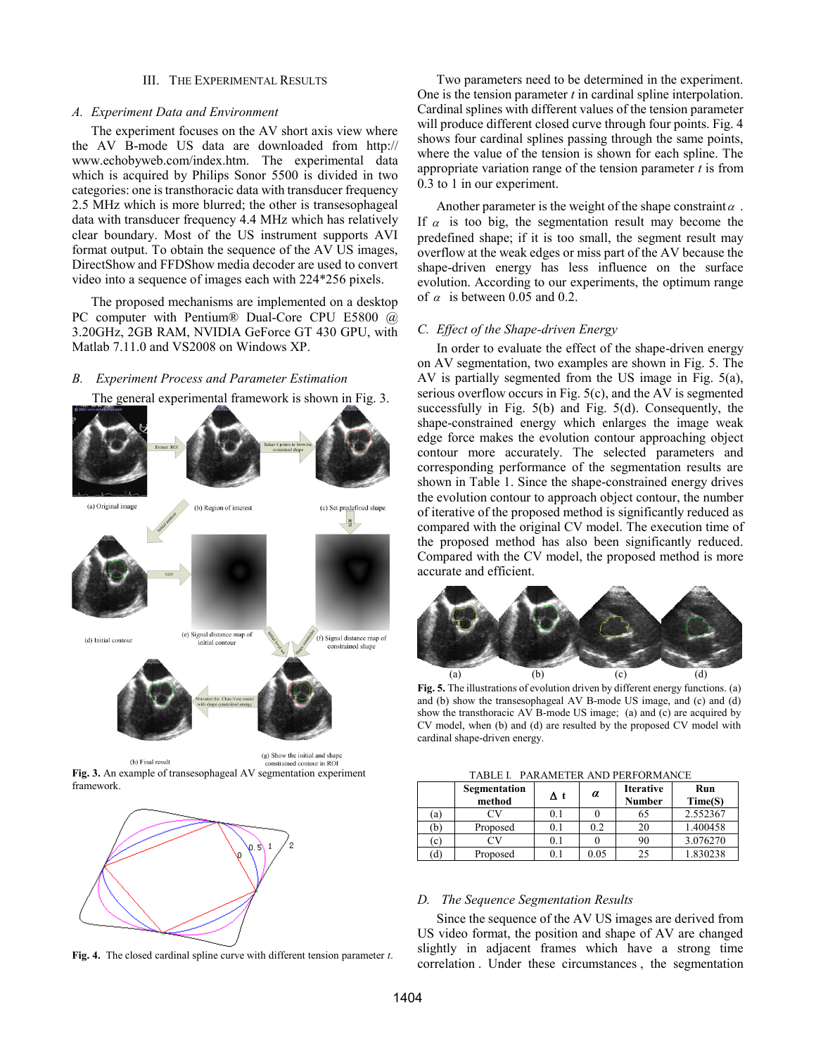#### III. THE EXPERIMENTAL RESULTS

#### *A. Experiment Data and Environment*

The experiment focuses on the AV short axis view where the AV B-mode US data are downloaded from http:// www.echobyweb.com/index.htm. The experimental data which is acquired by Philips Sonor 5500 is divided in two categories: one is transthoracic data with transducer frequency 2.5 MHz which is more blurred; the other is transesophageal data with transducer frequency 4.4 MHz which has relatively clear boundary. Most of the US instrument supports AVI format output. To obtain the sequence of the AV US images, DirectShow and FFDShow media decoder are used to convert video into a sequence of images each with 224\*256 pixels.

The proposed mechanisms are implemented on a desktop PC computer with Pentium® Dual-Core CPU E5800 @ 3.20GHz, 2GB RAM, NVIDIA GeForce GT 430 GPU, with Matlab 7.11.0 and VS2008 on Windows XP.

The general experimental framework is shown in Fig. 3.

#### *B. Experiment Process and Parameter Estimation*

(a) Original image (b) Region of interest (c) Set predefined shape ig L (e) Signal distance map of (f) Signal distance map of (d) Initial contour .<br>initial contour strained shar (g) Show the initial and shape (h) Final result constrained contour in RO.

**Fig. 3.** An example of transesophageal AV segmentation experiment framework.



**Fig. 4.** The closed cardinal spline curve with different tension parameter *t*.

Two parameters need to be determined in the experiment. One is the tension parameter *t* in cardinal spline interpolation. Cardinal splines with different values of the tension parameter will produce different closed curve through four points. Fig. 4 shows four cardinal splines passing through the same points, where the value of the tension is shown for each spline. The appropriate variation range of the tension parameter *t* is from 0.3 to 1 in our experiment.

Another parameter is the weight of the shape constraint  $\alpha$ . If  $\alpha$  is too big, the segmentation result may become the predefined shape; if it is too small, the segment result may overflow at the weak edges or miss part of the AV because the shape-driven energy has less influence on the surface evolution. According to our experiments, the optimum range of  $\alpha$  is between 0.05 and 0.2.

## *C. Effect of the Shape-driven Energy*

In order to evaluate the effect of the shape-driven energy on AV segmentation, two examples are shown in Fig. 5. The AV is partially segmented from the US image in Fig. 5(a), serious overflow occurs in Fig. 5(c), and the AV is segmented successfully in Fig. 5(b) and Fig. 5(d). Consequently, the shape-constrained energy which enlarges the image weak edge force makes the evolution contour approaching object contour more accurately. The selected parameters and corresponding performance of the segmentation results are shown in Table 1. Since the shape-constrained energy drives the evolution contour to approach object contour, the number of iterative of the proposed method is significantly reduced as compared with the original CV model. The execution time of the proposed method has also been significantly reduced. Compared with the CV model, the proposed method is more accurate and efficient.



**Fig. 5.** The illustrations of evolution driven by different energy functions. (a) and (b) show the transesophageal AV B-mode US image, and (c) and (d) show the transthoracic AV B-mode US image; (a) and (c) are acquired by CV model, when (b) and (d) are resulted by the proposed CV model with cardinal shape-driven energy.

TABLE I. PARAMETER AND PERFORMANCE

|     | Segmentation<br>method | Δt  | α        | <b>Iterative</b><br><b>Number</b> | Run<br>Time(S) |
|-----|------------------------|-----|----------|-----------------------------------|----------------|
| (a) | ٦V                     | 0.1 |          | 65                                | 2.552367       |
| (b` | Proposed               | 0.1 | 0.2      | 20                                | 1.400458       |
| (c) |                        | 0.1 |          | 90                                | 3.076270       |
| (ď  | Proposed               | 0.1 | $0.05\,$ | 25                                | 1.830238       |

## *D. The Sequence Segmentation Results*

Since the sequence of the AV US images are derived from US video format, the position and shape of AV are changed slightly in adjacent frames which have a strong time correlation . Under these circumstances , the segmentation